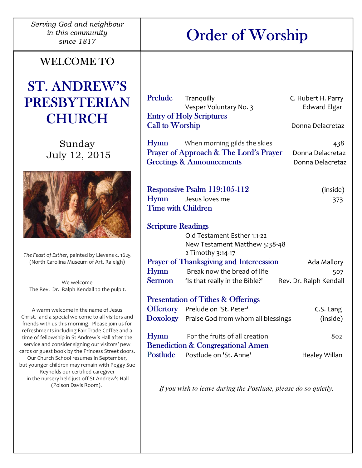Serving God and neighbour in this community

### WELCOME TO

## ST. ANDREW'S PRESBYTERIAN **CHURCH**

Sunday July 12, 2015



The Feast of Esther, painted by Lievens c. 1625 (North Carolina Museum of Art, Raleigh)

We welcome The Rev. Dr. Ralph Kendall to the pulpit.

A warm welcome in the name of Jesus Christ. and a special welcome to all visitors and friends with us this morning. Please join us for refreshments including Fair Trade Coffee and a time of fellowship in St Andrew's Hall after the service and consider signing our visitors' pew cards or guest book by the Princess Street doors. Our Church School resumes in September, but younger children may remain with Peggy Sue Reynolds our certified caregiver in the nursery held just off St Andrew's Hall (Polson Davis Room).

# his community  $\sum_{\text{since }1817}$  Order of Worship

Prelude Tranquilly C. Hubert H. Parry Vesper Voluntary No. 3 Edward Elgar Entry of Holy Scriptures Call to Worship Donna Delacretaz

Hymn When morning gilds the skies 438 Prayer of Approach & The Lord's Prayer Donna Delacretaz Greetings & Announcements Donna Delacretaz

Responsive Psalm 119:105-112 (inside) Hymn Jesus loves me 373 Time with Children

#### Scripture Readings

 Old Testament Esther 1:1-22 New Testament Matthew 5:38-48 2 Timothy 3:14-17

Prayer of Thanksgiving and Intercession Ada Mallory Hymn Break now the bread of life 507

| <b>Presentation of Tithes &amp; Offerings</b> |  |  |
|-----------------------------------------------|--|--|

| Treschiation of Thirds & Offerings |                                             |           |  |
|------------------------------------|---------------------------------------------|-----------|--|
|                                    | <b>Offertory</b> Prelude on 'St. Peter'     | C.S. Lang |  |
|                                    | Doxology Praise God from whom all blessings | (inside)  |  |
|                                    |                                             |           |  |

Sermon 'Is that really in the Bible?' Rev. Dr. Ralph Kendall

Hymn For the fruits of all creation 802 Benediction & Congregational Amen Postlude Postlude on 'St. Anne' Healey Willan

If you wish to leave during the Postlude, please do so quietly.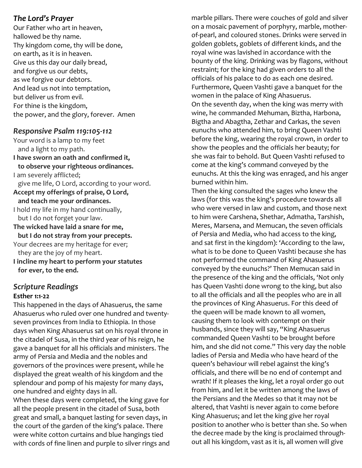#### The Lord's Prayer

Our Father who art in heaven, hallowed be thy name. Thy kingdom come, thy will be done, on earth, as it is in heaven. Give us this day our daily bread, and forgive us our debts, as we forgive our debtors. And lead us not into temptation, but deliver us from evil. For thine is the kingdom, the power, and the glory, forever. Amen

#### Responsive Psalm 119:105-112

Your word is a lamp to my feet and a light to my path. I have sworn an oath and confirmed it, to observe your righteous ordinances. I am severely afflicted; give me life, O Lord, according to your word. Accept my offerings of praise, O Lord, and teach me your ordinances. I hold my life in my hand continually, but I do not forget your law. The wicked have laid a snare for me, but I do not stray from your precepts. Your decrees are my heritage for ever; they are the joy of my heart.

I incline my heart to perform your statutes for ever, to the end.

#### Scripture Readings Esther 1:1-22

This happened in the days of Ahasuerus, the same Ahasuerus who ruled over one hundred and twentyseven provinces from India to Ethiopia. In those days when King Ahasuerus sat on his royal throne in the citadel of Susa, in the third year of his reign, he gave a banquet for all his officials and ministers. The army of Persia and Media and the nobles and governors of the provinces were present, while he displayed the great wealth of his kingdom and the splendour and pomp of his majesty for many days, one hundred and eighty days in all.

When these days were completed, the king gave for all the people present in the citadel of Susa, both great and small, a banquet lasting for seven days, in the court of the garden of the king's palace. There were white cotton curtains and blue hangings tied with cords of fine linen and purple to silver rings and marble pillars. There were couches of gold and silver on a mosaic pavement of porphyry, marble, motherof-pearl, and coloured stones. Drinks were served in golden goblets, goblets of different kinds, and the royal wine was lavished in accordance with the bounty of the king. Drinking was by flagons, without restraint; for the king had given orders to all the officials of his palace to do as each one desired. Furthermore, Queen Vashti gave a banquet for the women in the palace of King Ahasuerus. On the seventh day, when the king was merry with wine, he commanded Mehuman, Biztha, Harbona, Bigtha and Abagtha, Zethar and Carkas, the seven eunuchs who attended him, to bring Queen Vashti before the king, wearing the royal crown, in order to show the peoples and the officials her beauty; for she was fair to behold. But Queen Vashti refused to come at the king's command conveyed by the eunuchs. At this the king was enraged, and his anger burned within him.

Then the king consulted the sages who knew the laws (for this was the king's procedure towards all who were versed in law and custom, and those next to him were Carshena, Shethar, Admatha, Tarshish, Meres, Marsena, and Memucan, the seven officials of Persia and Media, who had access to the king, and sat first in the kingdom): 'According to the law, what is to be done to Queen Vashti because she has not performed the command of King Ahasuerus conveyed by the eunuchs?' Then Memucan said in the presence of the king and the officials, 'Not only has Queen Vashti done wrong to the king, but also to all the officials and all the peoples who are in all the provinces of King Ahasuerus. For this deed of the queen will be made known to all women, causing them to look with contempt on their husbands, since they will say, "King Ahasuerus commanded Queen Vashti to be brought before him, and she did not come." This very day the noble ladies of Persia and Media who have heard of the queen's behaviour will rebel against the king's officials, and there will be no end of contempt and wrath! If it pleases the king, let a royal order go out from him, and let it be written among the laws of the Persians and the Medes so that it may not be altered, that Vashti is never again to come before King Ahasuerus; and let the king give her royal position to another who is better than she. So when the decree made by the king is proclaimed throughout all his kingdom, vast as it is, all women will give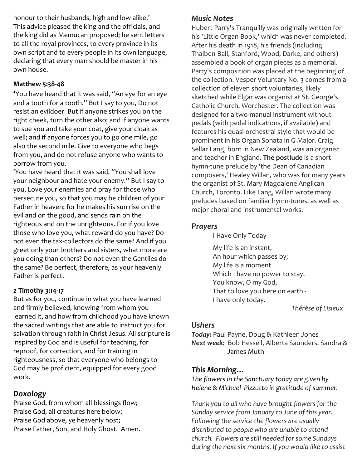honour to their husbands, high and low alike.' This advice pleased the king and the officials, and the king did as Memucan proposed; he sent letters to all the royal provinces, to every province in its own script and to every people in its own language, declaring that every man should be master in his own house.

#### Matthew 5:38-48

'You have heard that it was said, "An eye for an eye and a tooth for a tooth." But I say to you, Do not resist an evildoer. But if anyone strikes you on the right cheek, turn the other also; and if anyone wants to sue you and take your coat, give your cloak as well; and if anyone forces you to go one mile, go also the second mile. Give to everyone who begs from you, and do not refuse anyone who wants to borrow from you.

'You have heard that it was said, "You shall love your neighbour and hate your enemy." But I say to you, Love your enemies and pray for those who persecute you, so that you may be children of your Father in heaven; for he makes his sun rise on the evil and on the good, and sends rain on the righteous and on the unrighteous. For if you love those who love you, what reward do you have? Do not even the tax-collectors do the same? And if you greet only your brothers and sisters, what more are you doing than others? Do not even the Gentiles do the same? Be perfect, therefore, as your heavenly Father is perfect.

#### 2 Timothy 3:14-17

But as for you, continue in what you have learned and firmly believed, knowing from whom you learned it, and how from childhood you have known the sacred writings that are able to instruct you for salvation through faith in Christ Jesus. All scripture is inspired by God and is useful for teaching, for reproof, for correction, and for training in righteousness, so that everyone who belongs to God may be proficient, equipped for every good work.

#### Doxology

Praise God, from whom all blessings flow; Praise God, all creatures here below; Praise God above, ye heavenly host; Praise Father, Son, and Holy Ghost. Amen.

#### Music Notes

Hubert Parry's Tranquilly was originally written for his 'Little Organ Book,' which was never completed. After his death in 1918, his friends (including Thalben-Ball, Stanford, Wood, Darke, and others) assembled a book of organ pieces as a memorial. Parry's composition was placed at the beginning of the collection. Vesper Voluntary No. 3 comes from a collection of eleven short voluntaries, likely sketched while Elgar was organist at St. George's Catholic Church, Worchester. The collection was designed for a two-manual instrument without pedals (with pedal indications, if available) and features his quasi-orchestral style that would be prominent in his Organ Sonata in G Major. Craig Sellar Lang, born in New Zealand, was an organist and teacher in England. The postlude is a short hymn-tune prelude by 'the Dean of Canadian composers,' Healey Willan, who was for many years the organist of St. Mary Magdalene Anglican Church, Toronto. Like Lang, Willan wrote many preludes based on familiar hymn-tunes, as well as major choral and instrumental works.

#### Prayers

I Have Only Today

 My life is an instant, An hour which passes by; My life is a moment Which I have no power to stay. You know, O my God, That to love you here on earth - I have only today.

Thérèse of Lisieux

#### Ushers

Today: Paul Payne, Doug & Kathleen Jones Next week: Bob Hessell, Alberta Saunders, Sandra & James Muth

#### This Morning…

The flowers in the Sanctuary today are given by Helene & Michael Pizzutto in gratitude of summer.

Thank you to all who have brought flowers for the Sunday service from January to June of this year. Following the service the flowers are usually distributed to people who are unable to attend church. Flowers are still needed for some Sundays during the next six months. If you would like to assist